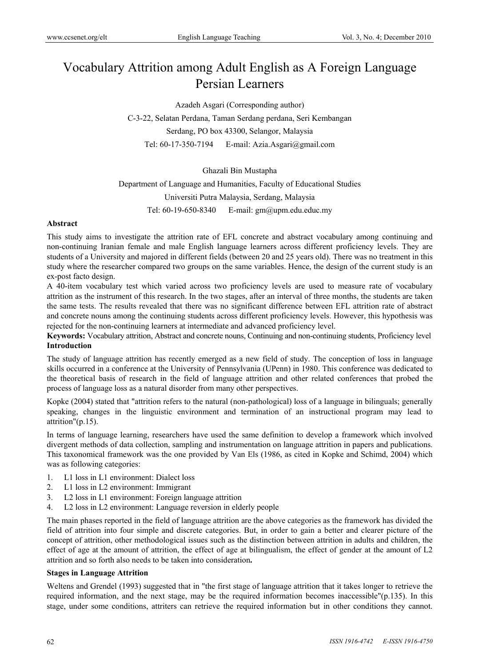# Vocabulary Attrition among Adult English as A Foreign Language Persian Learners

Azadeh Asgari (Corresponding author) C-3-22, Selatan Perdana, Taman Serdang perdana, Seri Kembangan Serdang, PO box 43300, Selangor, Malaysia Tel: 60-17-350-7194 E-mail: Azia.Asgari@gmail.com

#### Ghazali Bin Mustapha

Department of Language and Humanities, Faculty of Educational Studies Universiti Putra Malaysia, Serdang, Malaysia Tel: 60-19-650-8340 E-mail: gm@upm.edu.educ.my

### **Abstract**

This study aims to investigate the attrition rate of EFL concrete and abstract vocabulary among continuing and non-continuing Iranian female and male English language learners across different proficiency levels. They are students of a University and majored in different fields (between 20 and 25 years old). There was no treatment in this study where the researcher compared two groups on the same variables. Hence, the design of the current study is an ex-post facto design.

A 40-item vocabulary test which varied across two proficiency levels are used to measure rate of vocabulary attrition as the instrument of this research. In the two stages, after an interval of three months, the students are taken the same tests. The results revealed that there was no significant difference between EFL attrition rate of abstract and concrete nouns among the continuing students across different proficiency levels. However, this hypothesis was rejected for the non-continuing learners at intermediate and advanced proficiency level.

**Keywords:** Vocabulary attrition, Abstract and concrete nouns, Continuing and non-continuing students, Proficiency level **Introduction** 

The study of language attrition has recently emerged as a new field of study. The conception of loss in language skills occurred in a conference at the University of Pennsylvania (UPenn) in 1980. This conference was dedicated to the theoretical basis of research in the field of language attrition and other related conferences that probed the process of language loss as a natural disorder from many other perspectives.

Kopke (2004) stated that "attrition refers to the natural (non-pathological) loss of a language in bilinguals; generally speaking, changes in the linguistic environment and termination of an instructional program may lead to attrition"(p.15).

In terms of language learning, researchers have used the same definition to develop a framework which involved divergent methods of data collection, sampling and instrumentation on language attrition in papers and publications. This taxonomical framework was the one provided by Van Els (1986, as cited in Kopke and Schimd, 2004) which was as following categories:

- 1. L1 loss in L1 environment: Dialect loss
- 2. L1 loss in L2 environment: Immigrant
- 3. L2 loss in L1 environment: Foreign language attrition
- 4. L2 loss in L2 environment: Language reversion in elderly people

The main phases reported in the field of language attrition are the above categories as the framework has divided the field of attrition into four simple and discrete categories. But, in order to gain a better and clearer picture of the concept of attrition, other methodological issues such as the distinction between attrition in adults and children, the effect of age at the amount of attrition, the effect of age at bilingualism, the effect of gender at the amount of L2 attrition and so forth also needs to be taken into consideration**.** 

#### **Stages in Language Attrition**

Weltens and Grendel (1993) suggested that in "the first stage of language attrition that it takes longer to retrieve the required information, and the next stage, may be the required information becomes inaccessible"(p.135). In this stage, under some conditions, attriters can retrieve the required information but in other conditions they cannot.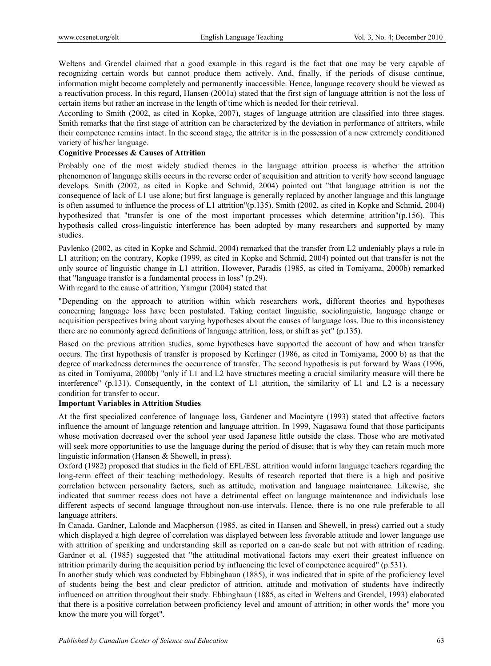Weltens and Grendel claimed that a good example in this regard is the fact that one may be very capable of recognizing certain words but cannot produce them actively. And, finally, if the periods of disuse continue, information might become completely and permanently inaccessible. Hence, language recovery should be viewed as a reactivation process. In this regard, Hansen (2001a) stated that the first sign of language attrition is not the loss of certain items but rather an increase in the length of time which is needed for their retrieval.

According to Smith (2002, as cited in Kopke, 2007), stages of language attrition are classified into three stages. Smith remarks that the first stage of attrition can be characterized by the deviation in performance of attriters, while their competence remains intact. In the second stage, the attriter is in the possession of a new extremely conditioned variety of his/her language.

# **Cognitive Processes & Causes of Attrition**

Probably one of the most widely studied themes in the language attrition process is whether the attrition phenomenon of language skills occurs in the reverse order of acquisition and attrition to verify how second language develops. Smith (2002, as cited in Kopke and Schmid, 2004) pointed out "that language attrition is not the consequence of lack of L1 use alone; but first language is generally replaced by another language and this language is often assumed to influence the process of L1 attrition"(p.135). Smith (2002, as cited in Kopke and Schmid, 2004) hypothesized that "transfer is one of the most important processes which determine attrition"(p.156). This hypothesis called cross-linguistic interference has been adopted by many researchers and supported by many studies.

Pavlenko (2002, as cited in Kopke and Schmid, 2004) remarked that the transfer from L2 undeniably plays a role in L1 attrition; on the contrary, Kopke (1999, as cited in Kopke and Schmid, 2004) pointed out that transfer is not the only source of linguistic change in L1 attrition. However, Paradis (1985, as cited in Tomiyama, 2000b) remarked that "language transfer is a fundamental process in loss" (p.29).

With regard to the cause of attrition, Yamgur (2004) stated that

"Depending on the approach to attrition within which researchers work, different theories and hypotheses concerning language loss have been postulated. Taking contact linguistic, sociolinguistic, language change or acquisition perspectives bring about varying hypotheses about the causes of language loss. Due to this inconsistency there are no commonly agreed definitions of language attrition, loss, or shift as yet" (p.135).

Based on the previous attrition studies, some hypotheses have supported the account of how and when transfer occurs. The first hypothesis of transfer is proposed by Kerlinger (1986, as cited in Tomiyama, 2000 b) as that the degree of markedness determines the occurrence of transfer. The second hypothesis is put forward by Waas (1996, as cited in Tomiyama, 2000b) "only if L1 and L2 have structures meeting a crucial similarity measure will there be interference" (p.131). Consequently, in the context of L1 attrition, the similarity of L1 and L2 is a necessary condition for transfer to occur.

## **Important Variables in Attrition Studies**

At the first specialized conference of language loss, Gardener and Macintyre (1993) stated that affective factors influence the amount of language retention and language attrition. In 1999, Nagasawa found that those participants whose motivation decreased over the school year used Japanese little outside the class. Those who are motivated will seek more opportunities to use the language during the period of disuse; that is why they can retain much more linguistic information (Hansen & Shewell, in press).

Oxford (1982) proposed that studies in the field of EFL/ESL attrition would inform language teachers regarding the long-term effect of their teaching methodology. Results of research reported that there is a high and positive correlation between personality factors, such as attitude, motivation and language maintenance. Likewise, she indicated that summer recess does not have a detrimental effect on language maintenance and individuals lose different aspects of second language throughout non-use intervals. Hence, there is no one rule preferable to all language attriters.

In Canada, Gardner, Lalonde and Macpherson (1985, as cited in Hansen and Shewell, in press) carried out a study which displayed a high degree of correlation was displayed between less favorable attitude and lower language use with attrition of speaking and understanding skill as reported on a can-do scale but not with attrition of reading. Gardner et al. (1985) suggested that "the attitudinal motivational factors may exert their greatest influence on attrition primarily during the acquisition period by influencing the level of competence acquired" (p.531).

In another study which was conducted by Ebbinghaun (1885), it was indicated that in spite of the proficiency level of students being the best and clear predictor of attrition, attitude and motivation of students have indirectly influenced on attrition throughout their study. Ebbinghaun (1885, as cited in Weltens and Grendel, 1993) elaborated that there is a positive correlation between proficiency level and amount of attrition; in other words the" more you know the more you will forget".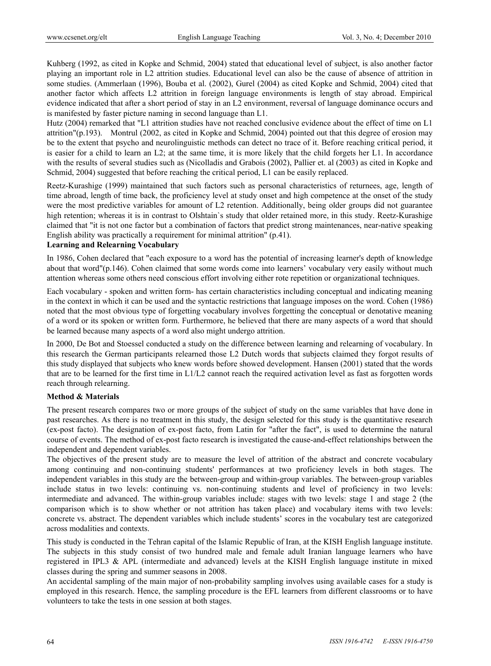Kuhberg (1992, as cited in Kopke and Schmid, 2004) stated that educational level of subject, is also another factor playing an important role in L2 attrition studies. Educational level can also be the cause of absence of attrition in some studies. (Ammerlaan (1996), Bouba et al. (2002), Gurel (2004) as cited Kopke and Schmid, 2004) cited that another factor which affects L2 attrition in foreign language environments is length of stay abroad. Empirical evidence indicated that after a short period of stay in an L2 environment, reversal of language dominance occurs and is manifested by faster picture naming in second language than L1.

Hutz (2004) remarked that "L1 attrition studies have not reached conclusive evidence about the effect of time on L1 attrition"(p.193). Montrul (2002, as cited in Kopke and Schmid, 2004) pointed out that this degree of erosion may be to the extent that psycho and neurolinguistic methods can detect no trace of it. Before reaching critical period, it is easier for a child to learn an L2; at the same time, it is more likely that the child forgets her L1. In accordance with the results of several studies such as (Nicolladis and Grabois (2002), Pallier et. al (2003) as cited in Kopke and Schmid, 2004) suggested that before reaching the critical period, L1 can be easily replaced.

Reetz-Kurashige (1999) maintained that such factors such as personal characteristics of returnees, age, length of time abroad, length of time back, the proficiency level at study onset and high competence at the onset of the study were the most predictive variables for amount of L2 retention. Additionally, being older groups did not guarantee high retention; whereas it is in contrast to Olshtain's study that older retained more, in this study. Reetz-Kurashige claimed that "it is not one factor but a combination of factors that predict strong maintenances, near-native speaking English ability was practically a requirement for minimal attrition" (p.41).

#### **Learning and Relearning Vocabulary**

In 1986, Cohen declared that "each exposure to a word has the potential of increasing learner's depth of knowledge about that word"(p.146). Cohen claimed that some words come into learners' vocabulary very easily without much attention whereas some others need conscious effort involving either rote repetition or organizational techniques.

Each vocabulary - spoken and written form- has certain characteristics including conceptual and indicating meaning in the context in which it can be used and the syntactic restrictions that language imposes on the word. Cohen (1986) noted that the most obvious type of forgetting vocabulary involves forgetting the conceptual or denotative meaning of a word or its spoken or written form. Furthermore, he believed that there are many aspects of a word that should be learned because many aspects of a word also might undergo attrition.

In 2000, De Bot and Stoessel conducted a study on the difference between learning and relearning of vocabulary. In this research the German participants relearned those L2 Dutch words that subjects claimed they forgot results of this study displayed that subjects who knew words before showed development. Hansen (2001) stated that the words that are to be learned for the first time in L1/L2 cannot reach the required activation level as fast as forgotten words reach through relearning.

## **Method & Materials**

The present research compares two or more groups of the subject of study on the same variables that have done in past researches. As there is no treatment in this study, the design selected for this study is the quantitative research (ex-post facto). The designation of ex-post facto, from Latin for "after the fact", is used to determine the natural course of events. The method of ex-post facto research is investigated the cause-and-effect relationships between the independent and dependent variables.

The objectives of the present study are to measure the level of attrition of the abstract and concrete vocabulary among continuing and non-continuing students' performances at two proficiency levels in both stages. The independent variables in this study are the between-group and within-group variables. The between-group variables include status in two levels: continuing vs. non-continuing students and level of proficiency in two levels: intermediate and advanced. The within-group variables include: stages with two levels: stage 1 and stage 2 (the comparison which is to show whether or not attrition has taken place) and vocabulary items with two levels: concrete vs. abstract. The dependent variables which include students' scores in the vocabulary test are categorized across modalities and contexts.

This study is conducted in the Tehran capital of the Islamic Republic of Iran, at the KISH English language institute. The subjects in this study consist of two hundred male and female adult Iranian language learners who have registered in IPL3 & APL (intermediate and advanced) levels at the KISH English language institute in mixed classes during the spring and summer seasons in 2008.

An accidental sampling of the main major of non-probability sampling involves using available cases for a study is employed in this research. Hence, the sampling procedure is the EFL learners from different classrooms or to have volunteers to take the tests in one session at both stages.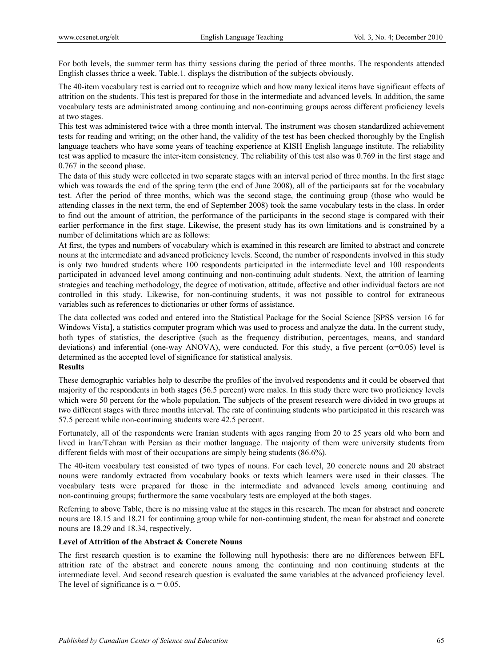For both levels, the summer term has thirty sessions during the period of three months. The respondents attended English classes thrice a week. Table.1. displays the distribution of the subjects obviously.

The 40-item vocabulary test is carried out to recognize which and how many lexical items have significant effects of attrition on the students. This test is prepared for those in the intermediate and advanced levels. In addition, the same vocabulary tests are administrated among continuing and non-continuing groups across different proficiency levels at two stages.

This test was administered twice with a three month interval. The instrument was chosen standardized achievement tests for reading and writing; on the other hand, the validity of the test has been checked thoroughly by the English language teachers who have some years of teaching experience at KISH English language institute. The reliability test was applied to measure the inter-item consistency. The reliability of this test also was 0.769 in the first stage and 0.767 in the second phase.

The data of this study were collected in two separate stages with an interval period of three months. In the first stage which was towards the end of the spring term (the end of June 2008), all of the participants sat for the vocabulary test. After the period of three months, which was the second stage, the continuing group (those who would be attending classes in the next term, the end of September 2008) took the same vocabulary tests in the class. In order to find out the amount of attrition, the performance of the participants in the second stage is compared with their earlier performance in the first stage. Likewise, the present study has its own limitations and is constrained by a number of delimitations which are as follows:

At first, the types and numbers of vocabulary which is examined in this research are limited to abstract and concrete nouns at the intermediate and advanced proficiency levels. Second, the number of respondents involved in this study is only two hundred students where 100 respondents participated in the intermediate level and 100 respondents participated in advanced level among continuing and non-continuing adult students. Next, the attrition of learning strategies and teaching methodology, the degree of motivation, attitude, affective and other individual factors are not controlled in this study. Likewise, for non-continuing students, it was not possible to control for extraneous variables such as references to dictionaries or other forms of assistance.

The data collected was coded and entered into the Statistical Package for the Social Science [SPSS version 16 for Windows Vista], a statistics computer program which was used to process and analyze the data. In the current study, both types of statistics, the descriptive (such as the frequency distribution, percentages, means, and standard deviations) and inferential (one-way ANOVA), were conducted. For this study, a five percent ( $\alpha$ =0.05) level is determined as the accepted level of significance for statistical analysis.

## **Results**

These demographic variables help to describe the profiles of the involved respondents and it could be observed that majority of the respondents in both stages (56.5 percent) were males. In this study there were two proficiency levels which were 50 percent for the whole population. The subjects of the present research were divided in two groups at two different stages with three months interval. The rate of continuing students who participated in this research was 57.5 percent while non-continuing students were 42.5 percent.

Fortunately, all of the respondents were Iranian students with ages ranging from 20 to 25 years old who born and lived in Iran/Tehran with Persian as their mother language. The majority of them were university students from different fields with most of their occupations are simply being students (86.6%).

The 40-item vocabulary test consisted of two types of nouns. For each level, 20 concrete nouns and 20 abstract nouns were randomly extracted from vocabulary books or texts which learners were used in their classes. The vocabulary tests were prepared for those in the intermediate and advanced levels among continuing and non-continuing groups; furthermore the same vocabulary tests are employed at the both stages.

Referring to above Table, there is no missing value at the stages in this research. The mean for abstract and concrete nouns are 18.15 and 18.21 for continuing group while for non-continuing student, the mean for abstract and concrete nouns are 18.29 and 18.34, respectively.

## **Level of Attrition of the Abstract & Concrete Nouns**

The first research question is to examine the following null hypothesis: there are no differences between EFL attrition rate of the abstract and concrete nouns among the continuing and non continuing students at the intermediate level. And second research question is evaluated the same variables at the advanced proficiency level. The level of significance is  $\alpha = 0.05$ .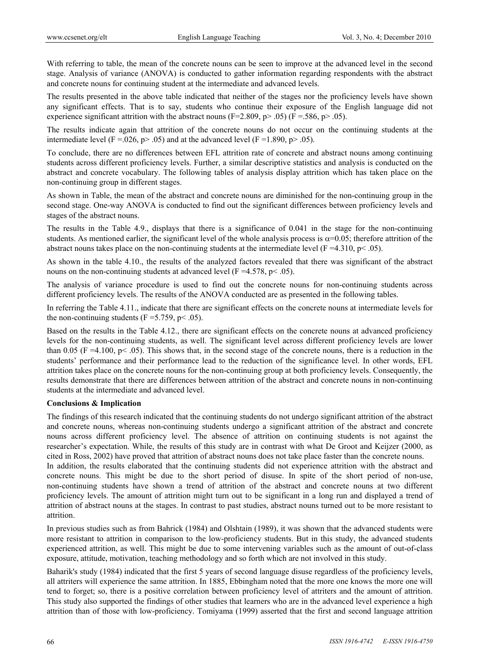With referring to table, the mean of the concrete nouns can be seen to improve at the advanced level in the second stage. Analysis of variance (ANOVA) is conducted to gather information regarding respondents with the abstract and concrete nouns for continuing student at the intermediate and advanced levels.

The results presented in the above table indicated that neither of the stages nor the proficiency levels have shown any significant effects. That is to say, students who continue their exposure of the English language did not experience significant attrition with the abstract nouns (F=2.809, p> .05) (F = 586, p> .05).

The results indicate again that attrition of the concrete nouns do not occur on the continuing students at the intermediate level (F = 0.026, p > .05) and at the advanced level (F = 1.890, p > .05).

To conclude, there are no differences between EFL attrition rate of concrete and abstract nouns among continuing students across different proficiency levels. Further, a similar descriptive statistics and analysis is conducted on the abstract and concrete vocabulary. The following tables of analysis display attrition which has taken place on the non-continuing group in different stages.

As shown in Table, the mean of the abstract and concrete nouns are diminished for the non-continuing group in the second stage. One-way ANOVA is conducted to find out the significant differences between proficiency levels and stages of the abstract nouns.

The results in the Table 4.9., displays that there is a significance of 0.041 in the stage for the non-continuing students. As mentioned earlier, the significant level of the whole analysis process is  $\alpha$ =0.05; therefore attrition of the abstract nouns takes place on the non-continuing students at the intermediate level (F =4.310, p < .05).

As shown in the table 4.10., the results of the analyzed factors revealed that there was significant of the abstract nouns on the non-continuing students at advanced level ( $F = 4.578$ ,  $p < .05$ ).

The analysis of variance procedure is used to find out the concrete nouns for non-continuing students across different proficiency levels. The results of the ANOVA conducted are as presented in the following tables.

In referring the Table 4.11., indicate that there are significant effects on the concrete nouns at intermediate levels for the non-continuing students ( $F = 5.759$ ,  $p < .05$ ).

Based on the results in the Table 4.12., there are significant effects on the concrete nouns at advanced proficiency levels for the non-continuing students, as well. The significant level across different proficiency levels are lower than 0.05 (F =4.100, p < .05). This shows that, in the second stage of the concrete nouns, there is a reduction in the students' performance and their performance lead to the reduction of the significance level. In other words, EFL attrition takes place on the concrete nouns for the non-continuing group at both proficiency levels. Consequently, the results demonstrate that there are differences between attrition of the abstract and concrete nouns in non-continuing students at the intermediate and advanced level.

## **Conclusions & Implication**

The findings of this research indicated that the continuing students do not undergo significant attrition of the abstract and concrete nouns, whereas non-continuing students undergo a significant attrition of the abstract and concrete nouns across different proficiency level. The absence of attrition on continuing students is not against the researcher's expectation. While, the results of this study are in contrast with what De Groot and Keijzer (2000, as cited in Ross, 2002) have proved that attrition of abstract nouns does not take place faster than the concrete nouns.

In addition, the results elaborated that the continuing students did not experience attrition with the abstract and concrete nouns. This might be due to the short period of disuse. In spite of the short period of non-use, non-continuing students have shown a trend of attrition of the abstract and concrete nouns at two different proficiency levels. The amount of attrition might turn out to be significant in a long run and displayed a trend of attrition of abstract nouns at the stages. In contrast to past studies, abstract nouns turned out to be more resistant to attrition.

In previous studies such as from Bahrick (1984) and Olshtain (1989), it was shown that the advanced students were more resistant to attrition in comparison to the low-proficiency students. But in this study, the advanced students experienced attrition, as well. This might be due to some intervening variables such as the amount of out-of-class exposure, attitude, motivation, teaching methodology and so forth which are not involved in this study.

Baharik's study (1984) indicated that the first 5 years of second language disuse regardless of the proficiency levels, all attriters will experience the same attrition. In 1885, Ebbingham noted that the more one knows the more one will tend to forget; so, there is a positive correlation between proficiency level of attriters and the amount of attrition. This study also supported the findings of other studies that learners who are in the advanced level experience a high attrition than of those with low-proficiency. Tomiyama (1999) asserted that the first and second language attrition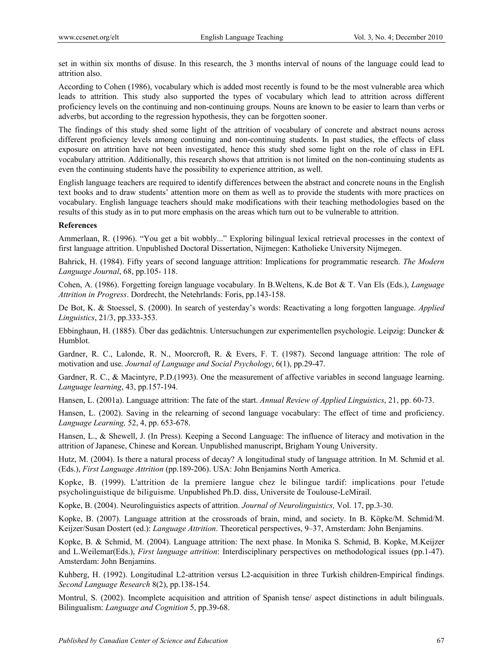set in within six months of disuse. In this research, the 3 months interval of nouns of the language could lead to attrition also.

According to Cohen (1986), vocabulary which is added most recently is found to be the most vulnerable area which leads to attrition. This study also supported the types of vocabulary which lead to attrition across different proficiency levels on the continuing and non-continuing groups. Nouns are known to be easier to learn than verbs or adverbs, but according to the regression hypothesis, they can be forgotten sooner.

The findings of this study shed some light of the attrition of vocabulary of concrete and abstract nouns across different proficiency levels among continuing and non-continuing students. In past studies, the effects of class exposure on attrition have not been investigated, hence this study shed some light on the role of class in EFL vocabulary attrition. Additionally, this research shows that attrition is not limited on the non-continuing students as even the continuing students have the possibility to experience attrition, as well.

English language teachers are required to identify differences between the abstract and concrete nouns in the English text books and to draw students' attention more on them as well as to provide the students with more practices on vocabulary. English language teachers should make modifications with their teaching methodologies based on the results of this study as in to put more emphasis on the areas which turn out to be vulnerable to attrition.

## **References**

Ammerlaan, R. (1996). "You get a bit wobbly..." Exploring bilingual lexical retrieval processes in the context of first language attrition. Unpublished Doctoral Dissertation, Nijmegen: Katholieke University Nijmegen.

Bahrick, H. (1984). Fifty years of second language attrition: Implications for programmatic research. *The Modern Language Journal*, 68, pp.105- 118.

Cohen, A. (1986). Forgetting foreign language vocabulary. In B.Weltens, K.de Bot & T. Van Els (Eds.), *Language Attrition in Progress*. Dordrecht, the Netehrlands: Foris, pp.143-158.

De Bot, K. & Stoessel, S. (2000). In search of yesterday's words: Reactivating a long forgotten language. *Applied Linguistics*, 21/3, pp.333-353.

Ebbinghaun, H. (1885). Über das gedächtnis. Untersuchungen zur experimentellen psychologie. Leipzig: Duncker & Humblot.

Gardner, R. C., Lalonde, R. N., Moorcroft, R. & Evers, F. T. (1987). Second language attrition: The role of motivation and use. *Journal of Language and Social Psychology*, 6(1), pp.29-47.

Gardner, R. C., & Macintyre, P.D.(1993). One the measurement of affective variables in second language learning. *Language learning*, 43, pp.157-194.

Hansen, L. (2001a). Language attrition: The fate of the start. *Annual Review of Applied Linguistics*, 21, pp. 60-73.

Hansen, L. (2002). Saving in the relearning of second language vocabulary: The effect of time and proficiency. *Language Learning,* 52, 4, pp. 653-678.

Hansen, L., & Shewell, J. (In Press). Keeping a Second Language: The influence of literacy and motivation in the attrition of Japanese, Chinese and Korean. Unpublished manuscript, Brigham Young University.

Hutz, M. (2004). Is there a natural process of decay? A longitudinal study of language attrition. In M. Schmid et al. (Eds.), *First Language Attrition* (pp.189-206). USA: John Benjamins North America.

Kopke, B. (1999). L'attrition de la premiere langue chez le bilingue tardif: implications pour l'etude psycholinguistique de biliguisme*.* Unpublished Ph.D. diss, Universite de Toulouse-LeMirail.

Kopke, B. (2004). Neurolinguistics aspects of attrition. *Journal of Neurolinguistics,* Vol. 17, pp.3-30.

Kopke, B. (2007). Language attrition at the crossroads of brain, mind, and society. In B. Köpke/M. Schmid/M. Keijzer/Susan Dostert (ed.): *Language Attrition*. Theoretical perspectives, 9–37, Amsterdam: John Benjamins.

Kopke, B. & Schmid, M. (2004). Language attrition: The next phase. In Monika S. Schmid, B. Kopke, M.Keijzer and L.Weilemar(Eds.), *First language attrition*: Interdisciplinary perspectives on methodological issues (pp.1-47). Amsterdam: John Benjamins.

Kuhberg, H. (1992). Longitudinal L2-attrition versus L2-acquisition in three Turkish children-Empirical findings. *Second Language Research* 8(2), pp.138-154.

Montrul, S. (2002). Incomplete acquisition and attrition of Spanish tense/ aspect distinctions in adult bilinguals. Bilingualism: *Language and Cognition* 5, pp.39-68.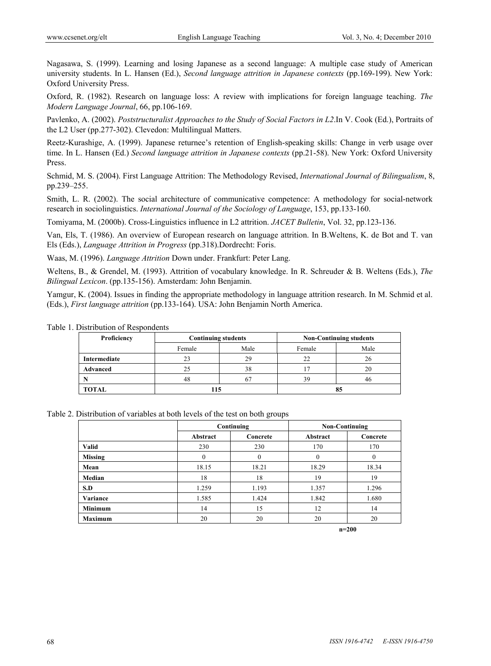Nagasawa, S. (1999). Learning and losing Japanese as a second language: A multiple case study of American university students. In L. Hansen (Ed.), *Second language attrition in Japanese contexts* (pp.169-199). New York: Oxford University Press.

Oxford, R. (1982). Research on language loss: A review with implications for foreign language teaching. *The Modern Language Journal*, 66, pp.106-169.

Pavlenko, A. (2002). *Poststructuralist Approaches to the Study of Social Factors in L2*.In V. Cook (Ed.), Portraits of the L2 User (pp.277-302). Clevedon: Multilingual Matters.

Reetz-Kurashige, A. (1999). Japanese returnee's retention of English-speaking skills: Change in verb usage over time. In L. Hansen (Ed.) *Second language attrition in Japanese contexts* (pp.21-58). New York: Oxford University Press.

Schmid, M. S. (2004). First Language Attrition: The Methodology Revised, *International Journal of Bilingualism*, 8, pp.239–255.

Smith, L. R. (2002). The social architecture of communicative competence: A methodology for social-network research in sociolinguistics. *International Journal of the Sociology of Language*, 153, pp.133-160.

Tomiyama, M. (2000b). Cross-Linguistics influence in L2 attrition. *JACET Bulletin*, Vol. 32, pp.123-136.

Van, Els, T. (1986). An overview of European research on language attrition. In B.Weltens, K. de Bot and T. van Els (Eds.), *Language Attrition in Progress* (pp.318).Dordrecht: Foris.

Waas, M. (1996). *Language Attrition* Down under. Frankfurt: Peter Lang.

Weltens, B., & Grendel, M. (1993). Attrition of vocabulary knowledge. In R. Schreuder & B. Weltens (Eds.), *The Bilingual Lexicon*. (pp.135-156). Amsterdam: John Benjamin.

Yamgur, K. (2004). Issues in finding the appropriate methodology in language attrition research. In M. Schmid et al. (Eds.), *First language attrition* (pp.133-164). USA: John Benjamin North America.

| Proficiency  | <b>Continuing students</b> |      |    | <b>Non-Continuing students</b> |
|--------------|----------------------------|------|----|--------------------------------|
|              | Female                     | Male |    | Male                           |
| Intermediate | 23                         | 29   | 22 | 26                             |
| Advanced     | 25                         | 38   |    | 20                             |
|              | 48                         | 67   | 39 | 46                             |
| TOTAL        |                            |      |    |                                |

Table 1. Distribution of Respondents

| Table 2. Distribution of variables at both levels of the test on both groups |
|------------------------------------------------------------------------------|
|------------------------------------------------------------------------------|

|                |          | Continuing   | <b>Non-Continuing</b> |          |
|----------------|----------|--------------|-----------------------|----------|
|                | Abstract | Concrete     | Abstract              | Concrete |
| <b>Valid</b>   | 230      | 230          | 170                   | 170      |
| <b>Missing</b> | 0        | $\mathbf{0}$ | $\theta$              | $\theta$ |
| Mean           | 18.15    | 18.21        | 18.29                 | 18.34    |
| Median         | 18       | 18           | 19                    | 19       |
| S.D            | 1.259    | 1.193        | 1.357                 | 1.296    |
| Variance       | 1.585    | 1.424        | 1.842                 | 1.680    |
| <b>Minimum</b> | 14       | 15           | 12                    | 14       |
| <b>Maximum</b> | 20       | 20           | 20                    | 20       |

**n=200**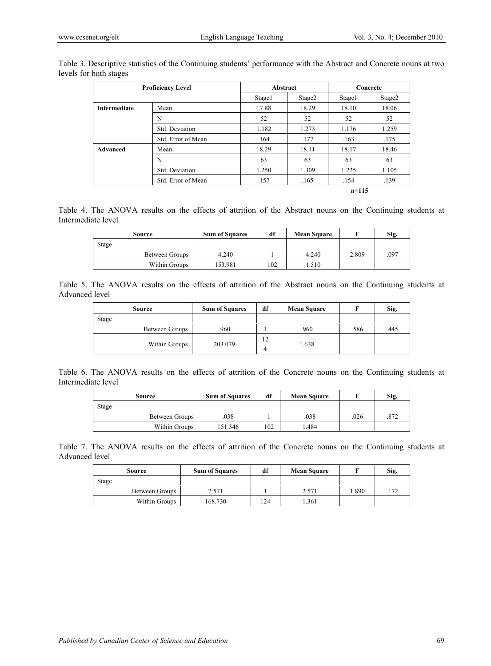|              | <b>Proficiency Level</b> | Abstract |                    |           | Concrete |
|--------------|--------------------------|----------|--------------------|-----------|----------|
|              |                          | Stage1   | Stage <sub>2</sub> | Stage1    | Stage2   |
| Intermediate | Mean                     | 17.88    | 18.29              | 18.10     | 18.06    |
|              | N                        | 52       | 52                 | 52        | 52       |
|              | Std. Deviation           | 1.182    | 1.273              | 1.176     | 1.259    |
|              | Std. Error of Mean       | .164     | .177               | .163      | .175     |
| Advanced     | Mean                     | 18.29    | 18.11              | 18.17     | 18.46    |
|              | N                        | 63       | 63                 | 63        | 63       |
|              | Std. Deviation           | 1.250    | 1.309              | 1.225     | 1.105    |
|              | Std. Error of Mean       | .157     | .165               | .154      | .139     |
|              |                          |          |                    | $n = 115$ |          |

Table 3. Descriptive statistics of the Continuing students' performance with the Abstract and Concrete nouns at two levels for both stages

Table 4. The ANOVA results on the effects of attrition of the Abstract nouns on the Continuing students at Intermediate level

| Source |                | <b>Sum of Squares</b> | df  | <b>Mean Square</b> |       | Sig. |
|--------|----------------|-----------------------|-----|--------------------|-------|------|
| Stage  |                |                       |     |                    |       |      |
|        | Between Groups | 4.240                 |     | 4.240              | 2.809 | .097 |
|        | Within Groups  | 153.981               | 102 | .510               |       |      |

|                |  |  |  |  |  |  |  | Table 5. The ANOVA results on the effects of attrition of the Abstract nouns on the Continuing students at |  |
|----------------|--|--|--|--|--|--|--|------------------------------------------------------------------------------------------------------------|--|
| Advanced level |  |  |  |  |  |  |  |                                                                                                            |  |

| Source |                | <b>Sum of Squares</b> | df      | <b>Mean Square</b> |      | Sig. |
|--------|----------------|-----------------------|---------|--------------------|------|------|
| Stage  |                |                       |         |                    |      |      |
|        | Between Groups | .960                  |         | .960               | .586 | .445 |
|        | Within Groups  | 203.079               | 12<br>4 | 1.638              |      |      |

Table 6. The ANOVA results on the effects of attrition of the Concrete nouns on the Continuing students at Intermediate level

| Source |                | df<br><b>Sum of Squares</b> |     | <b>Mean Square</b> |      | Sig. |
|--------|----------------|-----------------------------|-----|--------------------|------|------|
| Stage  |                |                             |     |                    |      |      |
|        | Between Groups | 038                         |     | .038               | .026 | 872  |
|        | Within Groups  | 151.346                     | 102 | .484               |      |      |

Table 7. The ANOVA results on the effects of attrition of the Concrete nouns on the Continuing students at Advanced level

| Source         | <b>Sum of Squares</b> | df  | <b>Mean Square</b> |       | Sig. |
|----------------|-----------------------|-----|--------------------|-------|------|
| Stage          |                       |     |                    |       |      |
| Between Groups | 2.571                 |     | 2.571              | 1.890 | 172  |
| Within Groups  | 168.730               | 124 | .361               |       |      |